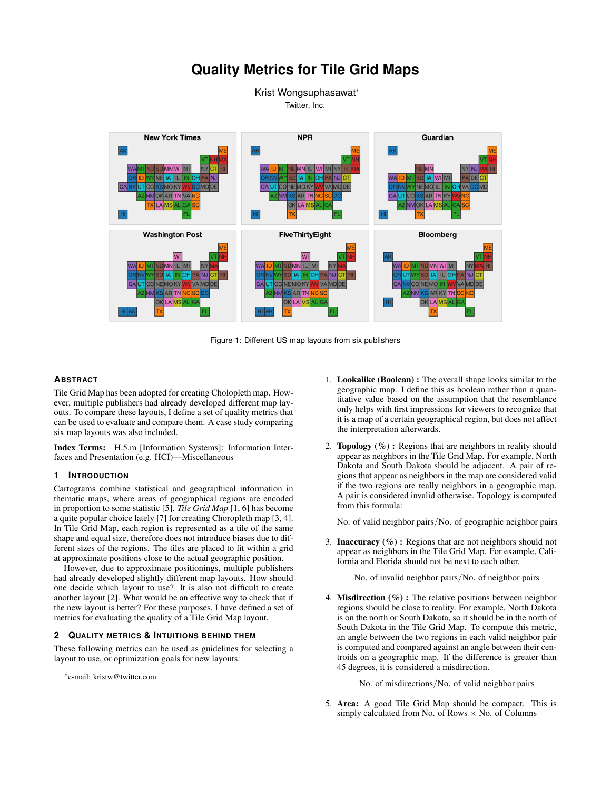

**Quality Metrics for Tile Grid Maps**

Figure 1: Different US map layouts from six publishers

# **ABSTRACT**

Tile Grid Map has been adopted for creating Cholopleth map. However, multiple publishers had already developed different map layouts. To compare these layouts, I define a set of quality metrics that can be used to evaluate and compare them. A case study comparing six map layouts was also included.

Index Terms: H.5.m [Information Systems]: Information Interfaces and Presentation (e.g. HCI)—Miscellaneous

### **1 INTRODUCTION**

Cartograms combine statistical and geographical information in thematic maps, where areas of geographical regions are encoded in proportion to some statistic [5]. *Tile Grid Map* [1, 6] has become a quite popular choice lately [7] for creating Choropleth map [3, 4]. In Tile Grid Map, each region is represented as a tile of the same shape and equal size, therefore does not introduce biases due to different sizes of the regions. The tiles are placed to fit within a grid at approximate positions close to the actual geographic position.

However, due to approximate positionings, multiple publishers had already developed slightly different map layouts. How should one decide which layout to use? It is also not difficult to create another layout [2]. What would be an effective way to check that if the new layout is better? For these purposes, I have defined a set of metrics for evaluating the quality of a Tile Grid Map layout.

## **2 QUALITY METRICS & INTUITIONS BEHIND THEM**

These following metrics can be used as guidelines for selecting a layout to use, or optimization goals for new layouts:

- 1. Lookalike (Boolean) : The overall shape looks similar to the geographic map. I define this as boolean rather than a quantitative value based on the assumption that the resemblance only helps with first impressions for viewers to recognize that it is a map of a certain geographical region, but does not affect the interpretation afterwards.
- 2. **Topology**  $(\%)$ : Regions that are neighbors in reality should appear as neighbors in the Tile Grid Map. For example, North Dakota and South Dakota should be adjacent. A pair of regions that appear as neighbors in the map are considered valid if the two regions are really neighbors in a geographic map. A pair is considered invalid otherwise. Topology is computed from this formula:

No. of valid neighbor pairs/No. of geographic neighbor pairs

3. **Inaccuracy**  $(\%)$ : Regions that are not neighbors should not appear as neighbors in the Tile Grid Map. For example, California and Florida should not be next to each other.

No. of invalid neighbor pairs/No. of neighbor pairs

4. **Misdirection**  $(\%)$ : The relative positions between neighbor regions should be close to reality. For example, North Dakota is on the north or South Dakota, so it should be in the north of South Dakota in the Tile Grid Map. To compute this metric, an angle between the two regions in each valid neighbor pair is computed and compared against an angle between their centroids on a geographic map. If the difference is greater than 45 degrees, it is considered a misdirection.

No. of misdirections/No. of valid neighbor pairs

5. Area: A good Tile Grid Map should be compact. This is simply calculated from No. of Rows  $\times$  No. of Columns

<sup>∗</sup> e-mail: kristw@twitter.com